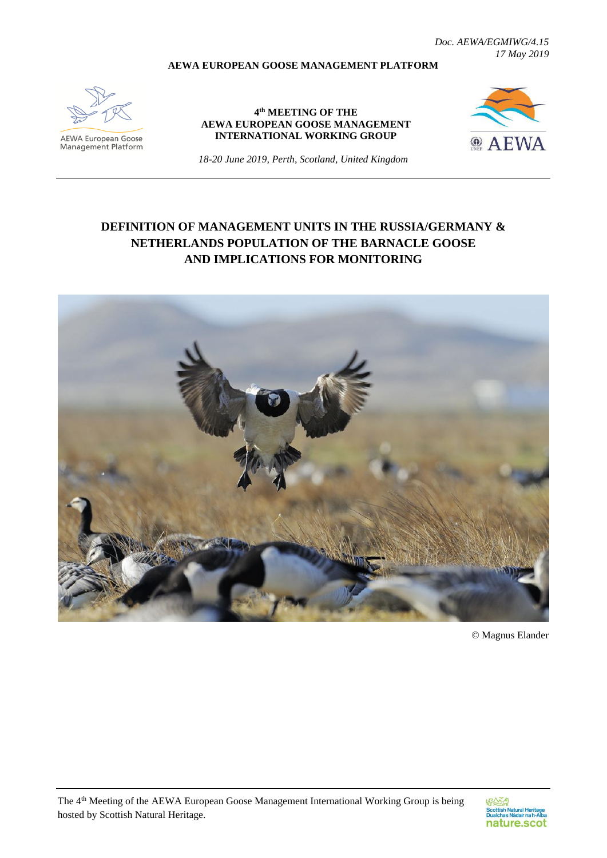*Doc. AEWA/EGMIWG/4.15 17 May 2019*

#### **AEWA EUROPEAN GOOSE MANAGEMENT PLATFORM**



**AEWA European Goose**<br>Management Platform

#### **4 th MEETING OF THE AEWA EUROPEAN GOOSE MANAGEMENT INTERNATIONAL WORKING GROUP**



*18-20 June 2019, Perth, Scotland, United Kingdom*

# **DEFINITION OF MANAGEMENT UNITS IN THE RUSSIA/GERMANY & NETHERLANDS POPULATION OF THE BARNACLE GOOSE AND IMPLICATIONS FOR MONITORING**



© Magnus Elander

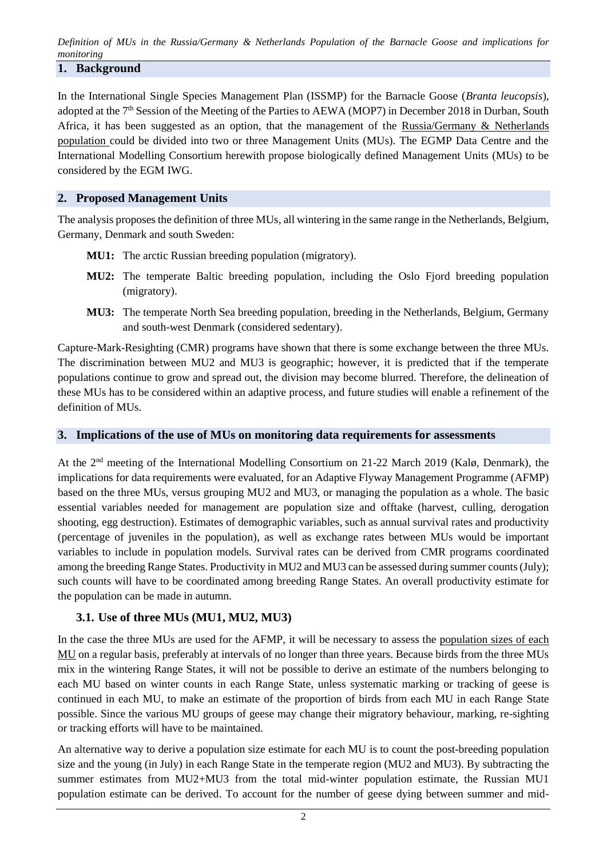*Definition of MUs in the Russia/Germany & Netherlands Population of the Barnacle Goose and implications for monitoring*

### **1. Background**

In the International Single Species Management Plan (ISSMP) for the Barnacle Goose (*Branta leucopsis*), adopted at the 7<sup>th</sup> Session of the Meeting of the Parties to AEWA (MOP7) in December 2018 in Durban, South Africa, it has been suggested as an option, that the management of the Russia/Germany & Netherlands population could be divided into two or three Management Units (MUs). The EGMP Data Centre and the International Modelling Consortium herewith propose biologically defined Management Units (MUs) to be considered by the EGM IWG.

### **2. Proposed Management Units**

The analysis proposes the definition of three MUs, all wintering in the same range in the Netherlands, Belgium, Germany, Denmark and south Sweden:

- **MU1:** The arctic Russian breeding population (migratory).
- **MU2:** The temperate Baltic breeding population, including the Oslo Fjord breeding population (migratory).
- **MU3:** The temperate North Sea breeding population, breeding in the Netherlands, Belgium, Germany and south-west Denmark (considered sedentary).

Capture-Mark-Resighting (CMR) programs have shown that there is some exchange between the three MUs. The discrimination between MU2 and MU3 is geographic; however, it is predicted that if the temperate populations continue to grow and spread out, the division may become blurred. Therefore, the delineation of these MUs has to be considered within an adaptive process, and future studies will enable a refinement of the definition of MUs.

### **3. Implications of the use of MUs on monitoring data requirements for assessments**

At the 2nd meeting of the International Modelling Consortium on 21-22 March 2019 (Kalø, Denmark), the implications for data requirements were evaluated, for an Adaptive Flyway Management Programme (AFMP) based on the three MUs, versus grouping MU2 and MU3, or managing the population as a whole. The basic essential variables needed for management are population size and offtake (harvest, culling, derogation shooting, egg destruction). Estimates of demographic variables, such as annual survival rates and productivity (percentage of juveniles in the population), as well as exchange rates between MUs would be important variables to include in population models. Survival rates can be derived from CMR programs coordinated among the breeding Range States. Productivity in MU2 and MU3 can be assessed during summer counts (July); such counts will have to be coordinated among breeding Range States. An overall productivity estimate for the population can be made in autumn.

### **3.1. Use of three MUs (MU1, MU2, MU3)**

In the case the three MUs are used for the AFMP, it will be necessary to assess the population sizes of each MU on a regular basis, preferably at intervals of no longer than three years. Because birds from the three MUs mix in the wintering Range States, it will not be possible to derive an estimate of the numbers belonging to each MU based on winter counts in each Range State, unless systematic marking or tracking of geese is continued in each MU, to make an estimate of the proportion of birds from each MU in each Range State possible. Since the various MU groups of geese may change their migratory behaviour, marking, re-sighting or tracking efforts will have to be maintained.

An alternative way to derive a population size estimate for each MU is to count the post-breeding population size and the young (in July) in each Range State in the temperate region (MU2 and MU3). By subtracting the summer estimates from MU2+MU3 from the total mid-winter population estimate, the Russian MU1 population estimate can be derived. To account for the number of geese dying between summer and mid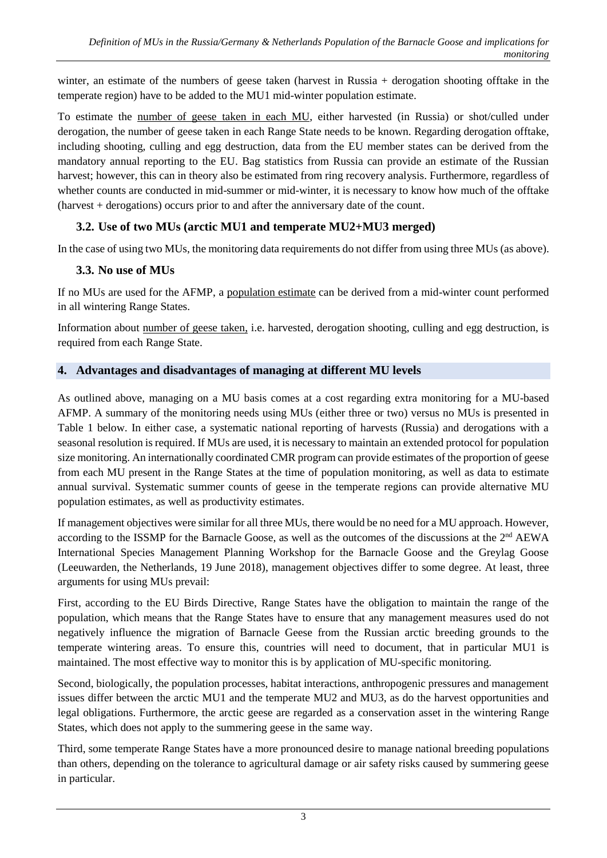winter, an estimate of the numbers of geese taken (harvest in Russia + derogation shooting offtake in the temperate region) have to be added to the MU1 mid-winter population estimate.

To estimate the number of geese taken in each MU, either harvested (in Russia) or shot/culled under derogation, the number of geese taken in each Range State needs to be known. Regarding derogation offtake, including shooting, culling and egg destruction, data from the EU member states can be derived from the mandatory annual reporting to the EU. Bag statistics from Russia can provide an estimate of the Russian harvest; however, this can in theory also be estimated from ring recovery analysis. Furthermore, regardless of whether counts are conducted in mid-summer or mid-winter, it is necessary to know how much of the offtake (harvest + derogations) occurs prior to and after the anniversary date of the count.

## **3.2. Use of two MUs (arctic MU1 and temperate MU2+MU3 merged)**

In the case of using two MUs, the monitoring data requirements do not differ from using three MUs (as above).

## **3.3. No use of MUs**

If no MUs are used for the AFMP, a population estimate can be derived from a mid-winter count performed in all wintering Range States.

Information about number of geese taken, i.e. harvested, derogation shooting, culling and egg destruction, is required from each Range State.

## **4. Advantages and disadvantages of managing at different MU levels**

As outlined above, managing on a MU basis comes at a cost regarding extra monitoring for a MU-based AFMP. A summary of the monitoring needs using MUs (either three or two) versus no MUs is presented in Table 1 below. In either case, a systematic national reporting of harvests (Russia) and derogations with a seasonal resolution is required. If MUs are used, it is necessary to maintain an extended protocol for population size monitoring. An internationally coordinated CMR program can provide estimates of the proportion of geese from each MU present in the Range States at the time of population monitoring, as well as data to estimate annual survival. Systematic summer counts of geese in the temperate regions can provide alternative MU population estimates, as well as productivity estimates.

If management objectives were similar for all three MUs, there would be no need for a MU approach. However, according to the ISSMP for the Barnacle Goose, as well as the outcomes of the discussions at the 2<sup>nd</sup> AEWA International Species Management Planning Workshop for the Barnacle Goose and the Greylag Goose (Leeuwarden, the Netherlands, 19 June 2018), management objectives differ to some degree. At least, three arguments for using MUs prevail:

First, according to the EU Birds Directive, Range States have the obligation to maintain the range of the population, which means that the Range States have to ensure that any management measures used do not negatively influence the migration of Barnacle Geese from the Russian arctic breeding grounds to the temperate wintering areas. To ensure this, countries will need to document, that in particular MU1 is maintained. The most effective way to monitor this is by application of MU-specific monitoring.

Second, biologically, the population processes, habitat interactions, anthropogenic pressures and management issues differ between the arctic MU1 and the temperate MU2 and MU3, as do the harvest opportunities and legal obligations. Furthermore, the arctic geese are regarded as a conservation asset in the wintering Range States, which does not apply to the summering geese in the same way.

Third, some temperate Range States have a more pronounced desire to manage national breeding populations than others, depending on the tolerance to agricultural damage or air safety risks caused by summering geese in particular.